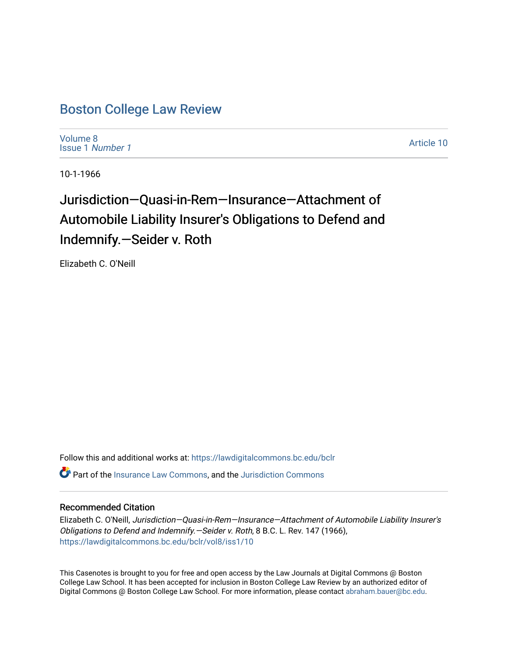## [Boston College Law Review](https://lawdigitalcommons.bc.edu/bclr)

[Volume 8](https://lawdigitalcommons.bc.edu/bclr/vol8) [Issue 1](https://lawdigitalcommons.bc.edu/bclr/vol8/iss1) Number 1

[Article 10](https://lawdigitalcommons.bc.edu/bclr/vol8/iss1/10) 

10-1-1966

# Jurisdiction—Quasi-in-Rem—Insurance—Attachment of Automobile Liability Insurer's Obligations to Defend and Indemnify.—Seider v. Roth

Elizabeth C. O'Neill

Follow this and additional works at: [https://lawdigitalcommons.bc.edu/bclr](https://lawdigitalcommons.bc.edu/bclr?utm_source=lawdigitalcommons.bc.edu%2Fbclr%2Fvol8%2Fiss1%2F10&utm_medium=PDF&utm_campaign=PDFCoverPages)  **P** Part of the [Insurance Law Commons](http://network.bepress.com/hgg/discipline/607?utm_source=lawdigitalcommons.bc.edu%2Fbclr%2Fvol8%2Fiss1%2F10&utm_medium=PDF&utm_campaign=PDFCoverPages), and the Jurisdiction Commons

### Recommended Citation

Elizabeth C. O'Neill, Jurisdiction—Quasi-in-Rem—Insurance—Attachment of Automobile Liability Insurer's Obligations to Defend and Indemnify.—Seider v. Roth, 8 B.C. L. Rev. 147 (1966), [https://lawdigitalcommons.bc.edu/bclr/vol8/iss1/10](https://lawdigitalcommons.bc.edu/bclr/vol8/iss1/10?utm_source=lawdigitalcommons.bc.edu%2Fbclr%2Fvol8%2Fiss1%2F10&utm_medium=PDF&utm_campaign=PDFCoverPages) 

This Casenotes is brought to you for free and open access by the Law Journals at Digital Commons @ Boston College Law School. It has been accepted for inclusion in Boston College Law Review by an authorized editor of Digital Commons @ Boston College Law School. For more information, please contact [abraham.bauer@bc.edu](mailto:abraham.bauer@bc.edu).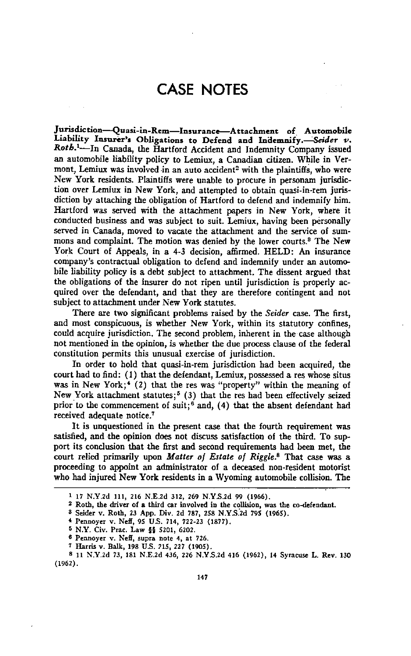## **CASE NOTES**

**Jurisdiction—Quasi-in-Rem—Insurance—Attachment of Automobile Liability Insurer's Obligations to Defend and Indemnify.—Seider v.** *Rot.6. <sup>1</sup>—In* Canada, the Hartford Accident and Indemnity Company issued an automobile liability policy to Lemiux, a Canadian citizen. While in Vermont, Lemiux was involved in an auto accident<sup>2</sup> with the plaintiffs, who were New York residents. Plaintiffs were unable to procure in personam jurisdiction over Lemiux in New York, and attempted to obtain quasi-in-rem jurisdiction by attaching the obligation of Hartford to defend and indemnify him. Hartford was served with the attachment papers in New York, where it conducted business and was subject to suit. Lemiux, having been personally served in Canada, moved to vacate the attachment and the service of summons and complaint. The motion was denied by the lower courts.<sup>8</sup> The New York Court of Appeals, in a **4-3** decision, affirmed. HELD: An insurance company's contractual obligation to defend and indemnify under an automobile liability policy is a debt subject to attachment. The dissent argued that the obligations of the insurer do not ripen until jurisdiction is properly acquired over the defendant, and that they are therefore contingent and not subject to attachment under New York statutes.

There are two significant problems raised by the *Seider* case. The first, and most conspicuous, is whether New York, within its statutory confines, could acquire jurisdiction. The second problem, inherent in the case although not mentioned in the opinion, is whether the due process clause of the federal constitution permits this unusual exercise of jurisdiction.

In order to hold that quasi-in-rem jurisdiction had been acquired, the court had to find: (I) that the defendant, Lemiux, possessed a res whose situs was in New York;<sup>4</sup> (2) that the res was "property" within the meaning of New York attachment statutes;<sup>5</sup> (3) that the res had been effectively seized prior to the commencement of suit;<sup>6</sup> and, (4) that the absent defendant had received adequate notice.'

It is unquestioned in the present case that the fourth requirement was satisfied, and the opinion does not discuss satisfaction of the third. To support its conclusion that the first and second requirements had been met, the court relied primarily upon *Matter of Estate of Riggle. <sup>8</sup>* That case was a proceeding to appoint an administrator of a deceased non-resident motorist who had injured New York residents in a Wyoming automobile collision. The

<sup>1</sup> 17 N.Y.2d 111, 216 N.E.2d 312, 269 N.Y.S.2d 99 (1966).

**<sup>2</sup>** Roth, the driver of a third car involved in the collision, was the co-defendant.

*a* Seider v. Roth, 23 App. Div. 2d 787, 258 N.Y.S.2d 795 (1965).

**<sup>4</sup>** Pennoyer v. Neff, 95 U.S. 714, 722-23 (1877).

<sup>&</sup>lt;sup>5</sup> N.Y. Civ. Prac. Law  $$$  5201, 6202.

**<sup>6</sup>** Pennoyer v. Neff, supra note 4, at 726.

**<sup>7</sup>** Harris v. Balk, 198 U.S. 215, 227 (1905).

**<sup>8</sup>** 11 N.Y.2d 73, 181 N.E.2d 436, 226 N.Y.S.2d 416 (1962), 14 Syracuse L. Rev. 130 (1962).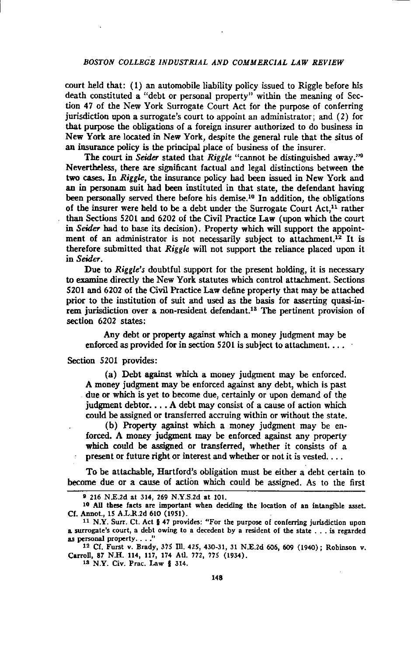### *BOSTON COLLEGE INDUSTRIAL AND COMMERCIAL LAW REVIEW*

court held that: (1) an automobile liability policy issued to Riggle before his death constituted a "debt or personal property" within the meaning of Section 47 of the New York Surrogate Court Act for the purpose of conferring jurisdiction upon a surrogate's court to appoint an administrator ; and (2) for that purpose the obligations of a foreign insurer authorized to do business in New York are located in New York, despite the general rule that the situs of an insurance policy is the principal place of business of the insurer.

The court in *Seider* stated that *Riggle* "cannot be distinguished away."<sup>9</sup> Nevertheless, there are significant factual and legal distinctions between the two cases. In *Riggk,* the insurance policy had been issued in New York and an in personam suit had been instituted in that state, the defendant having been personally served there before his demise.<sup>10</sup> In addition, the obligations of the insurer were held to be a debt under the Surrogate Court  $Act.^{11}$  rather than Sections 5201 and 6202 of the Civil Practice Law (upon which the court in *Seider* had to base its decision). Property which will support the appointment of an administrator is not necessarily subject to attachment.<sup>12</sup> It is therefore submitted that *Riggle* will not support the reliance placed upon it in *Seider.*

Due to *Riggle's* doubtful support for the present holding, it is necessary to examine directly the New York statutes which control attachment. Sections 5201 and 6202 of the Civil Practice Law define property that may be attached prior to the institution of suit and used as the basis for asserting quasi-inrem jurisdiction over a non-resident defendant.<sup>18</sup> The pertinent provision of section 6202 states:

Any debt or property against which a money judgment may be enforced as provided for in section 5201 is subject to attachment....

Section 5201 provides:

(a) Debt against which a money judgment may be enforced. A money judgment may be enforced against any debt, which is past due or which is yet to become due, certainly or upon demand of the judgment debtor...  $A$  debt may consist of a cause of action which could be assigned or transferred accruing within or without the state.

(b) Property against which a money judgment may be enforced. A money judgment may be enforced against any property which could be assigned or transferred, whether it consists of a present or future right or interest and whether or not it is vested....

To be attachable, Hartford's obligation must be either a debt certain to become due or a cause of action which could be assigned. As to the first

<sup>13</sup> N.Y. Civ. Prac. Law 4 314.

<sup>9</sup> 216 N.E.2d at 314, 269 N.Y.S.2d at 101.

<sup>10</sup> All these facts are important when deciding the location of an intangible asset. Cf. Annot., 15 A.L.R.2d 610 (1951).

<sup>11</sup> N.Y. Sun. Ct. Act { 47 provides: "For the purpose of conferring jurisdiction upon a surrogate's court, a debt owing to a decedent by a resident of the state ... is regarded as personal property...."

<sup>12</sup> Cf. Furst v. Brady, 375 Ill. 425, 430-31, 31 N.E.2d 606, 609 (1940); Robinson v. Carroll, 87 N.H. 114, 117, 174 Ad. 772, 775 (1934).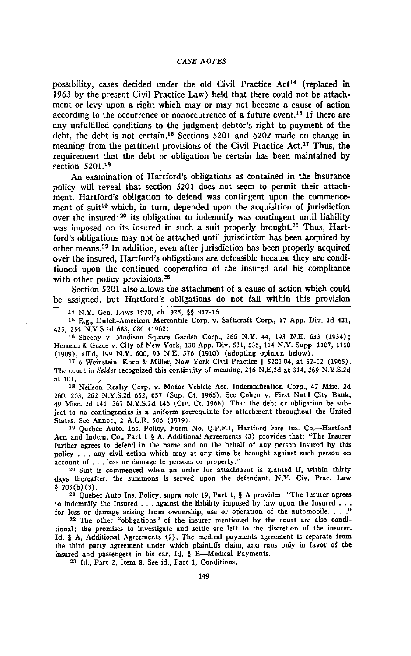possibility, cases decided under the old Civil Practice  $Act^{14}$  (replaced in 1963 by the present Civil Practice Law) held that there could not be attachment or levy upon a right which may or may not become a cause of action according to the occurrence or nonoccurrence of a future event.<sup>16</sup> If there are any unfulfilled conditions to the judgment debtor's right to payment of the debt, the debt is not certain.<sup>16</sup> Sections 5201 and 6202 made no change in meaning from the pertinent provisions of the Civil Practice Act.<sup>17</sup> Thus, the requirement that the debt or obligation be certain has been maintained by section 5201.<sup>18</sup>

An examination of Hartford's obligations as contained in the insurance policy will reveal that section 5201 does not seem to permit their attachment. Hartford's obligation to defend was contingent upon the commencement of suit<sup>19</sup> which, in turn, depended upon the acquisition of jurisdiction over the insured;<sup>20</sup> its obligation to indemnify was contingent until liability was imposed on its insured in such a suit properly brought.<sup>21</sup> Thus, Hartford's obligations may not *be* attached until jurisdiction has been acquired by other means. <sup>22</sup> In addition, even after jurisdiction has been properly acquired over the insured, Hartford's obligations are defeasible because they are conditioned upon the continued cooperation of the insured and his compliance with other policy provisions.<sup>28</sup>

Section 5201 also allows the attachment of a cause of action which could be assigned, but Hartford's obligations do not fall within this provision

14 N.Y. Gen. Laws 1920, ch. 925, §§ 912-16.

15 E.g., Dutch-American Mercantile Corp. v. Safticraft Corp., 17 App. Div. 2d 421, 423, 234 N.Y.S.2d 683, 686 (1962).

<sup>16</sup> Sheehy v. Madison Square Garden Corp., 266 N.Y. 44, 193 N.E. 633 (1934); Herman & Grace v. City of New York, 130 App. Div. 531, 535, 114 N.Y. Supp. 1107, 1110 (1909), aff'd, 199 N.Y. 600, 93 N.E. 376 (1910) (adopting opinion below).

<sup>17</sup>6 Weinstein, Korn & Miller, New York Civil Practice *I* 5201.04, at 52-12 (1965). The court in *Seider* recognized this continuity of meaning. 216 N.E.2d at 314, 269 N.Y.S.2d at 101.

<sup>13</sup> Neilson Realty Corp. v. Motor Vehicle Acc. Indemnification Corp., 47 Misc. 2d 260, 263, 262 N.Y.S.2d 652, 657 (Sup. Ct. 1965). See Cohen v. First Nat'l City Bank, 49 Misc. 2d 141, 267 N.Y.S.2d 146 (Civ. Ct. 1966). That the debt or obligation be subject to no contingencies is a uniform prerequisite for attachment throughout the United States. See Annot., 2 A.L.R. 506 (1919).

19 Quebec Auto. Ins. Policy, Form No. Q.P.F.1, Hartford Fire Ins. Co.—Hartford Acc. and Indem. Co., Part 1 § A, Additional Agreements (3) provides that: "The Insurer further agrees to defend in the name and on the behalf of any person insured by this policy . . . any civil action which may at any time be brought against such person on account of ... loss or damage to persons or property."

20 Suit is commenced when an order for attachment is granted if, within thirty days thereafter, the summons is served upon the defendant. N.Y. Civ. Prac. Law § 203 (b) (3).

21 Quebec Auto Ins. Policy, supra note 19, Part 1, § A provides: "The Insurer agrees to indemnify the Insured ... against the liability imposed by law upon the Insured ... for loss or damage arising from ownership, use or operation of the automobile. . . ."

22 The other "obligations" of the insurer mentioned by the court are also conditional; the promises to investigate and settle are left to the discretion of the insurer. Id. § A, Additional Agreements (2). The medical payments agreement is separate from the third party agreement under which plaintiffs claim, and runs only in favor of the insured and passengers in his car. Id. § B—Medical Payments.

<sup>23</sup> Id., Part 2, Item 8. See id, Part 1, Conditions.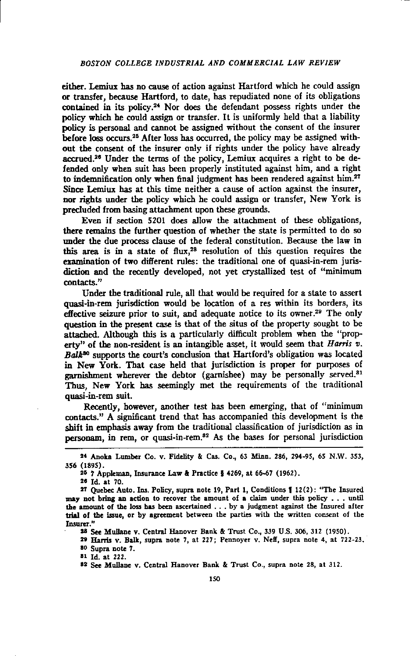either. Lemiux has no cause of action against Hartford which he could assign **or** transfer, because Hartford, to date, has repudiated none of its obligations contained in its policy.<sup>24</sup> Nor does the defendant possess rights under the policy which he could assign or transfer. It is uniformly held that a liability policy is personal and cannot be assigned without the consent of the insurer before loss occurs. <sup>25</sup> After loss has occurred, the policy may be assigned without the consent of the insurer only if rights under the policy have already accrued.<sup>26</sup> Under the terms of the policy, Lemiux acquires a right to be defended only when suit has been properly instituted against him, and a right to indemnification only when final judgment has been rendered against him.<sup>27</sup> Since Lemiux has at this time neither a cause of action against the insurer, nor rights under the policy which he could assign or transfer, New York is precluded from basing attachment upon these grounds.

Even if section 5201 does allow the attachment of these obligations, there remains the further question of whether the state is permitted to do so under the due process clause of the federal constitution. Because the law in this area is in a state of flux,<sup>28</sup> resolution of this question requires the examination of two different rules: the traditional one of quasi-in-rem jurisdiction and the recently developed, not yet crystallized test of "minimum contacts."

Under the traditional rule, all that would be required for a state to assert quasi-in-rem jurisdiction would be location of a res within its borders, its effective seizure prior to suit, and adequate notice to its owner.<sup>29</sup> The only question in the present case is that of the situs of the property sought to be attached. Although this is a particularly difficult problem when the "property" of the non-resident is an intangible asset, it would seem that *Harris v. Balks°* supports the court's conclusion that Hartford's obligation was located in New York. That case held that jurisdiction is proper for purposes of garnishment wherever the debtor (garnishee) may be personally served.<sup>81</sup> Thus, New York has seemingly met the requirements of the traditional quasi-in-rem suit.

Recently, however, another test has been emerging, that of "minimum contacts." A significant trend that has accompanied this development is the shift in emphasis away from the traditional classification of jurisdiction as in personam, in rem, or quasi-in-rem.<sup>82</sup> As the bases for personal jurisdiction

**<sup>25</sup>** Id. at 70.

**at** Id. at 222.

<sup>24</sup> Anoka Lumber Co. v. Fidelity & Cas. Co., 63 Minn. 286, 294-95, 65 N.W. 353, 356 (1895).

**<sup>5</sup><sup>5</sup> 7** Appkman, Insurance Law & Practice 4 4269, at 66-67 (1962).

**<sup>27</sup>** Quebec Auto. Ins. Policy, supra note 19, Part 1, Conditions **1** 12(2): "The Insured may not bring an action to recover the amount of a claim under this policy . . until the amount of the loss has been ascertained ... by a judgment against the Insured after trial of the issue, or *by* agreement between the parties with the written consent of the Insurer."

**<sup>23</sup>** See Mullane v. Central Hanover Bank & Trust Co., 339 U.S. 306, 312 (1950).

n Harris v. Balk, supra note 7, at 227; Pennoyer v. Neff, supra note 4, at 722-23. 80 Supra note 7.

**<sup>82</sup>** See Mullane v. Central Hanover Bank & Trust Co., supra note 28, at 312.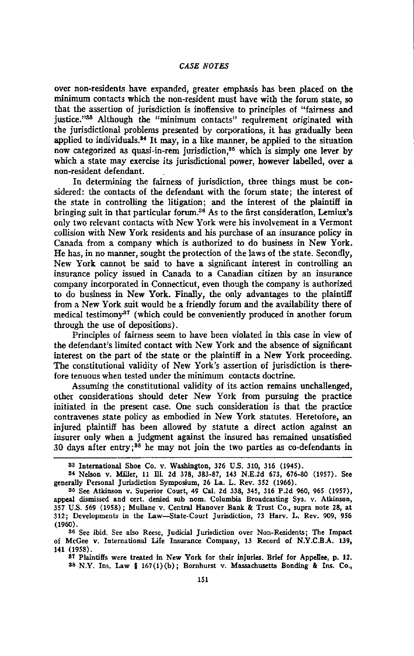#### *CASE NOTES*

over non-residents have expanded, greater emphasis has been placed on the minimum contacts which the non-resident must have with the forum state, so that the assertion of jurisdiction is inoffensive to principles of "fairness and justice."33 Although the "minimum contacts" requirement originated with the jurisdictional problems presented by corporations, it has gradually been applied to individuals. $34$  It may, in a like manner, be applied to the situation now categorized as quasi-in-rem jurisdiction,<sup>35</sup> which is simply one lever by which a state may exercise its jurisdictional power, however labelled, over a non-resident defendant.

In determining the fairness of jurisdiction, three things must be considered: the contacts of the defendant with the forum state; the interest of the state in controlling the litigation; and the interest of the plaintiff in bringing suit in that particular forum.<sup>36</sup> As to the first consideration, Lemiux's only two relevant contacts with New York were his involvement in a Vermont collision with New York residents and his purchase of an insurance policy in Canada from a company which is authorized to do business in New York. He has, in no manner, sought the protection of the laws of the state. Secondly, New York cannot be said to have a significant interest in controlling an insurance policy issued in Canada to a Canadian citizen by an insurance company incorporated in Connecticut, even though the company is authorized to do business in New York. Finally, the only advantages to the plaintiff from a New York suit would be a friendly forum and the availability there of medical testimony<sup>37</sup> (which could be conveniently produced in another forum through the use of depositions).

Principles of fairness seem to have been violated in this case in view of the defendant's limited contact with New York and the absence of significant interest on the part of the state or the plaintiff in a New York proceeding. The constitutional validity of New York's assertion of jurisdiction is therefore tenuous when tested under the minimum contacts doctrine.

Assuming the constitutional validity of its action remains unchallenged, other considerations should deter New York from pursuing the practice initiated in the present case. One such consideration is that the practice contravenes state policy as embodied in New York statutes. Heretofore, an injured plaintiff has been allowed by statute a direct action against an insurer only when a judgment against the insured has remained unsatisfied 30 days after entry;<sup>38</sup> he may not join the two parties as co-defendants in

<sup>37</sup> Plaintiffs were treated in New York for their injuries Brief for Appellee, **p.** 12. 38 N.Y. Ins. Law § 167(1)(b); Bornhurst v. Massachusetts Bonding & Ins. Co.,

<sup>33</sup> International Shoe Co. v. Washington, 326 U.S. 310, 316 (1945).

<sup>34</sup> Nelson v. Miller, 11 III. 2d 378, 383-87, 143 N.E.2d 673, 676-80 (1957). See generally Personal Jurisdiction Symposium, 26 La. L. Rev. 352 (1966).

<sup>35</sup> See Atkinson v. Superior Court, 49 Cal. 2d 338, 345, 316 P.2d 960, 965 (1957), appeal dismissed and cert. denied sub nom. Columbia Broadcasting Sys. v. Atkinson, 357 U.S. 569 (1958); Mullane v. Central Hanover Bank & Trust Co., supra note 28, at 312; Developments in the Law—State-Court Jurisdiction, 73 Harv. L. Rev. 909, 956 (1960).

<sup>36</sup> See ibid. See also Reese, Judicial Jurisdiction over Non-Residents; The Impact of McGee v. International Life Insurance Company, 13 Record of N.Y.C.B.A. 139, 141 (1958).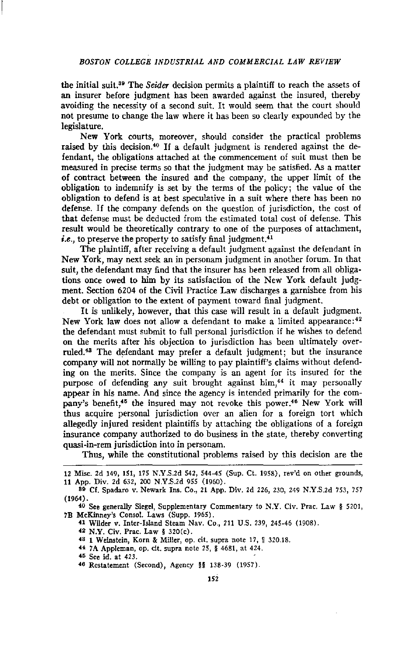the initial suit.<sup>39</sup> The *Seider* decision permits a plaintiff to reach the assets of an insurer before judgment has been awarded against the insured, thereby avoiding the necessity of a second suit. It would seem that the court should not presume to change the law where it has been so clearly expounded by the legislature.

New York courts, moreover, should consider the practical problems raised by this decision.<sup>40</sup> If a default judgment is rendered against the defendant, the obligations attached at the commencement of suit must then be measured in precise terms so that the judgment may be satisfied. As a matter of contract between the insured and the company, the upper limit of the obligation to indemnify is set by the terms of the policy; the value of the obligation to defend is at best speculative in a suit where there has been no defense. If the company defends on the question of jurisdiction, the cost of that defense must be deducted from the estimated total cost of defense. This result would be theoretically contrary to one of the purposes of attachment, *i.e.*, to preserve the property to satisfy final judgment.<sup>41</sup>

The plaintiff, after receiving a default judgment against the defendant in New York, may next seek an in personam judgment in another forum. In that suit, the defendant may find that the insurer has been released from all obligations once owed to *him by its* satisfaction of the New York default judgment. Section 6204 of the Civil Practice Law discharges a garnishee from his debt or obligation to the extent of payment toward final judgment.

It is unlikely, however, that this case will result in a default judgment. New York law does not allow a defendant to make a limited appearance: <sup>42</sup> the defendant must submit to full personal jurisdiction if he wishes to defend on the merits after his objection to jurisdiction has been ultimately overruled.<sup>43</sup> The defendant may prefer a default judgment; but the insurance company will not normally be willing to pay plaintiff's claims without defending on the merits. Since the company is an agent for its insured for the purpose of defending any suit brought against him,<sup>44</sup> it may personally appear in his name. And since the agency is intended primarily for the company's benefit,<sup>45</sup> the insured may not revoke this power.<sup>46</sup> New York will thus acquire personal jurisdiction over an alien for a foreign tort which allegedly injured resident plaintiffs by attaching the obligations of a foreign insurance company authorized to do business in the state, thereby converting quasi-in-rem jurisdiction into in personam.

Thus, while the constitutional problems raised by this decision are the

42 *N.Y.* Civ. Prac. Law § 320(c).

43 1 Weinstein, Korn & Miller, op. cit. supra note 17, ¶ 320.18.

48 See id. at 423.

<sup>12</sup> Misc. 2d 149, 151, 175 N.Y.S.2d 542, 544-45 (Sup. Ct. 1958), rev'd on other grounds, 11 App. Div. 2d 632, 200 N.Y.S.2d 955 (1960).

<sup>89</sup> Cf. Spadaro v. Newark Ins. Co., 21 App. Div. 2d 226, 230, 249 N.Y.S.2d 753, 757 (1964).

<sup>40</sup> See generally Siegel, Supplementary Commentary to N.Y. Civ. Prac. Law § 5201, 7B McKinney's Consol. Laws (Supp. 1965).

<sup>41</sup> Wilder v. Inter-Island Steam Nay. Co., 211 U.S. 239, 245-46 (1908).

<sup>44 7</sup>A Appleman, op. cit. supra note 25, § 4681, at 424.

<sup>46</sup> Restatement (Second), Agency §§ 138-39 (1957).